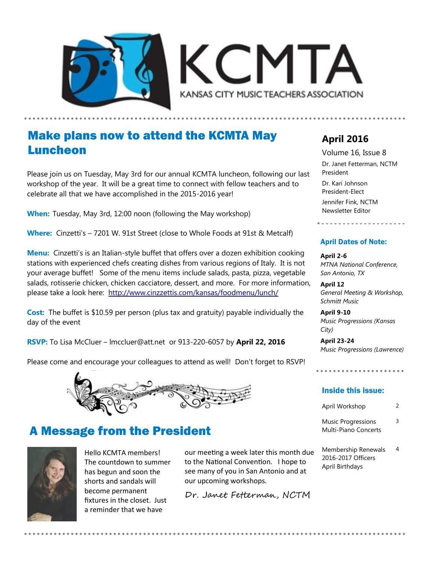



### Make plans now to attend the KCMTA May Luncheon

Please join us on Tuesday, May 3rd for our annual KCMTA luncheon, following our last workshop of the year. It will be a great time to connect with fellow teachers and to celebrate all that we have accomplished in the 2015-2016 year!

**When:** Tuesday, May 3rd, 12:00 noon (following the May workshop)

**Where:** Cinzetti's – 7201 W. 91st Street (close to Whole Foods at 91st & Metcalf)

**Menu:** Cinzetti's is an Italian-style buffet that offers over a dozen exhibition cooking stations with experienced chefs creating dishes from various regions of Italy. It is not your average buffet! Some of the menu items include salads, pasta, pizza, vegetable salads, rotisserie chicken, chicken cacciatore, dessert, and more. For more information, please take a look here: <http://www.cinzzettis.com/kansas/foodmenu/lunch/>

**Cost:** The buffet is \$10.59 per person (plus tax and gratuity) payable individually the day of the event

**RSVP:** To Lisa McCluer – lmccluer@att.net or 913-220-6057 by **April 22, 2016**

Please come and encourage your colleagues to attend as well! Don't forget to RSVP!

### A Message from the President



Hello KCMTA members! The countdown to summer has begun and soon the shorts and sandals will become permanent fixtures in the closet. Just a reminder that we have

our meeting a week later this month due to the National Convention. I hope to see many of you in San Antonio and at our upcoming workshops.

Dr. Janet Fetterman, NCTM

### **April 2016**

Volume 16, Issue 8 Dr. Janet Fetterman, NCTM President

Dr. Kari Johnson President-Elect Jennifer Fink, NCTM Newsletter Editor

#### April Dates of Note:

**April 2-6** *MTNA National Conference, San Antonio, TX*

**April 12** *General Meeting & Workshop, Schmitt Music*

**April 9-10** *Music Progressions (Kansas City)*

**April 23-24** *Music Progressions (Lawrence)*

. . . . . . . . . . . . . . . . . . . .

#### Inside this issue:

| April Workshop |  |
|----------------|--|
|                |  |

Music Progressions Multi-Piano Concerts 3

Membership Renewals 2016-2017 Officers April Birthdays 4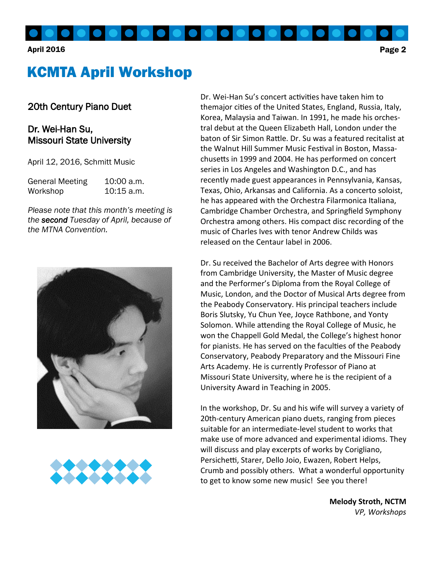#### April 2016 Page 2

# KCMTA April Workshop

### 20th Century Piano Duet

### Dr. Wei-Han Su, Missouri State University

April 12, 2016, Schmitt Music

| <b>General Meeting</b> | 10:00 a.m.   |
|------------------------|--------------|
| Workshop               | $10:15$ a.m. |

*Please note that this month's meeting is the second Tuesday of April, because of the MTNA Convention.*





Dr. Wei-Han Su's concert activities have taken him to themajor cities of the United States, England, Russia, Italy, Korea, Malaysia and Taiwan. In 1991, he made his orchestral debut at the Queen Elizabeth Hall, London under the baton of Sir Simon Rattle. Dr. Su was a featured recitalist at the Walnut Hill Summer Music Festival in Boston, Massachusetts in 1999 and 2004. He has performed on concert series in Los Angeles and Washington D.C., and has recently made guest appearances in Pennsylvania, Kansas, Texas, Ohio, Arkansas and California. As a concerto soloist, he has appeared with the Orchestra Filarmonica Italiana, Cambridge Chamber Orchestra, and Springfield Symphony Orchestra among others. His compact disc recording of the music of Charles Ives with tenor Andrew Childs was released on the Centaur label in 2006.

Dr. Su received the Bachelor of Arts degree with Honors from Cambridge University, the Master of Music degree and the Performer's Diploma from the Royal College of Music, London, and the Doctor of Musical Arts degree from the Peabody Conservatory. His principal teachers include Boris Slutsky, Yu Chun Yee, Joyce Rathbone, and Yonty Solomon. While attending the Royal College of Music, he won the Chappell Gold Medal, the College's highest honor for pianists. He has served on the faculties of the Peabody Conservatory, Peabody Preparatory and the Missouri Fine Arts Academy. He is currently Professor of Piano at Missouri State University, where he is the recipient of a University Award in Teaching in 2005.

In the workshop, Dr. Su and his wife will survey a variety of 20th-century American piano duets, ranging from pieces suitable for an intermediate-level student to works that make use of more advanced and experimental idioms. They will discuss and play excerpts of works by Corigliano, Persichetti, Starer, Dello Joio, Ewazen, Robert Helps, Crumb and possibly others. What a wonderful opportunity to get to know some new music! See you there!

> **Melody Stroth, NCTM** *VP, Workshops*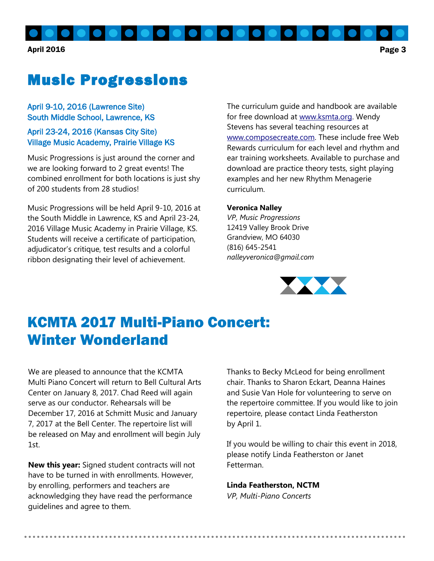April 2016 Page 3

# Music Progressions

#### April 9-10, 2016 (Lawrence Site) South Middle School, Lawrence, KS

#### April 23-24, 2016 (Kansas City Site) Village Music Academy, Prairie Village KS

Music Progressions is just around the corner and we are looking forward to 2 great events! The combined enrollment for both locations is just shy of 200 students from 28 studios!

Music Progressions will be held April 9-10, 2016 at the South Middle in Lawrence, KS and April 23-24, 2016 Village Music Academy in Prairie Village, KS. Students will receive a certificate of participation, adjudicator's critique, test results and a colorful ribbon designating their level of achievement.

The curriculum guide and handbook are available for free download at [www.ksmta.org.](http://www.ksmta.org) Wendy Stevens has several teaching resources at [www.composecreate.com.](http://www.composecreate.com) These include free Web Rewards curriculum for each level and rhythm and ear training worksheets. Available to purchase and download are practice theory tests, sight playing examples and her new Rhythm Menagerie curriculum.

#### **Veronica Nalley**

*VP, Music Progressions* 12419 Valley Brook Drive Grandview, MO 64030 (816) 645-2541 *nalleyveronica@gmail.com*



# KCMTA 2017 Multi-Piano Concert: Winter Wonderland

We are pleased to announce that the KCMTA Multi Piano Concert will return to Bell Cultural Arts Center on January 8, 2017. Chad Reed will again serve as our conductor. Rehearsals will be December 17, 2016 at Schmitt Music and January 7, 2017 at the Bell Center. The repertoire list will be released on May and enrollment will begin July 1st.

**New this year:** Signed student contracts will not have to be turned in with enrollments. However, by enrolling, performers and teachers are acknowledging they have read the performance guidelines and agree to them.

Thanks to Becky McLeod for being enrollment chair. Thanks to Sharon Eckart, Deanna Haines and Susie Van Hole for volunteering to serve on the repertoire committee. If you would like to join repertoire, please contact Linda Featherston by April 1.

If you would be willing to chair this event in 2018, please notify Linda Featherston or Janet Fetterman.

#### **Linda Featherston, NCTM**

*VP, Multi-Piano Concerts*